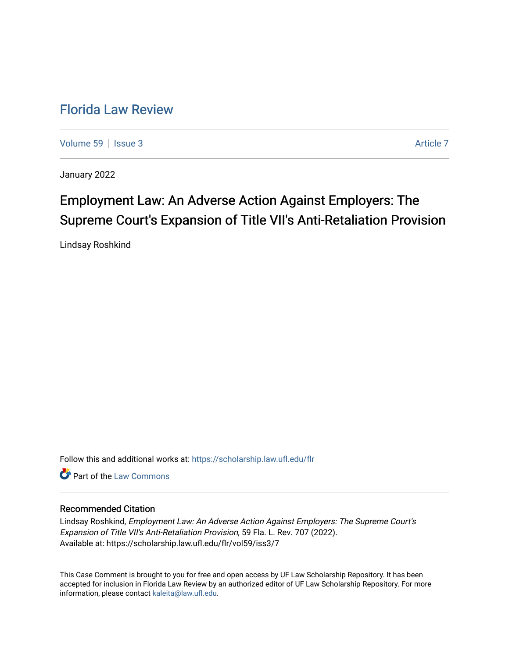## [Florida Law Review](https://scholarship.law.ufl.edu/flr)

[Volume 59](https://scholarship.law.ufl.edu/flr/vol59) | [Issue 3](https://scholarship.law.ufl.edu/flr/vol59/iss3) Article 7

January 2022

# Employment Law: An Adverse Action Against Employers: The Supreme Court's Expansion of Title VII's Anti-Retaliation Provision

Lindsay Roshkind

Follow this and additional works at: [https://scholarship.law.ufl.edu/flr](https://scholarship.law.ufl.edu/flr?utm_source=scholarship.law.ufl.edu%2Fflr%2Fvol59%2Fiss3%2F7&utm_medium=PDF&utm_campaign=PDFCoverPages)

**C** Part of the [Law Commons](http://network.bepress.com/hgg/discipline/578?utm_source=scholarship.law.ufl.edu%2Fflr%2Fvol59%2Fiss3%2F7&utm_medium=PDF&utm_campaign=PDFCoverPages)

## Recommended Citation

Lindsay Roshkind, Employment Law: An Adverse Action Against Employers: The Supreme Court's Expansion of Title VII's Anti-Retaliation Provision, 59 Fla. L. Rev. 707 (2022). Available at: https://scholarship.law.ufl.edu/flr/vol59/iss3/7

This Case Comment is brought to you for free and open access by UF Law Scholarship Repository. It has been accepted for inclusion in Florida Law Review by an authorized editor of UF Law Scholarship Repository. For more information, please contact [kaleita@law.ufl.edu.](mailto:kaleita@law.ufl.edu)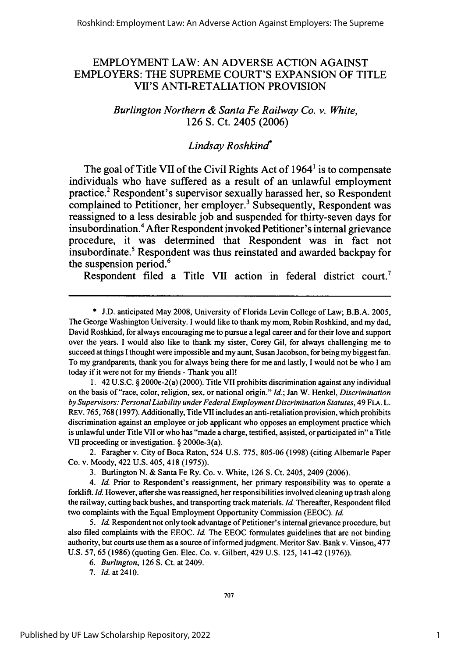## EMPLOYMENT LAW: AN ADVERSE ACTION AGAINST EMPLOYERS: THE SUPREME COURT'S EXPANSION OF TITLE VII'S ANTI-RETALIATION PROVISION

## *Burlington Northern & Santa Fe Railway Co. v. White,* **126 S.** Ct. 2405 **(2006)**

## *Lindsay Roshkind*

The goal of Title VII of the Civil Rights Act of 1964' is to compensate individuals who have suffered as a result of an unlawful employment practice.2 Respondent's supervisor sexually harassed her, so Respondent complained to Petitioner, her employer.<sup>3</sup> Subsequently, Respondent was reassigned to a less desirable **job** and suspended for thirty-seven days for insubordination.4 After Respondent invoked Petitioner's internal grievance procedure, it was determined that Respondent was in fact not insubordinate.5 Respondent was thus reinstated and awarded backpay for the suspension period.<sup>6</sup>

Respondent filed a Title VII action in federal district court.<sup>7</sup>

1. 42 U.S.C. § 2000e-2(a) (2000). Title VII prohibits discrimination against any individual on the basis of "race, color, religion, sex, or national origin." *Id.;* Jan W. Henkel, *Discrimination by Supervisors: PersonalLiability under Federal Employment Discrimination Statutes,* 49 FLA. L. REv. 765,768 (1997). Additionally, Title VII includes an anti-retaliation provision, which prohibits discrimination against an employee or job applicant who opposes an employment practice which is unlawful under Title VII or who has "made a charge, testified, assisted, or participated in" a Title VII proceeding or investigation. § 2000e-3(a).

2. Faragher v. City of Boca Raton, 524 U.S. 775, 805-06 (1998) (citing Albemarle Paper Co. v. Moody, 422 U.S. 405, 418 (1975)).

3. Burlington N. & Santa Fe Ry. Co. v. White, 126 **S.** Ct. 2405, 2409 (2006).

*4.* Id. Prior to Respondent's reassignment, her primary responsibility was to operate a forklift. Id. However, after she was reassigned, her responsibilities involved cleaning up trash along the railway, cutting back bushes, and transporting track materials. Id. Thereafter, Respondent filed two complaints with the Equal Employment Opportunity Commission (EEOC). **Id.**

5. Id. Respondent not only took advantage of Petitioner's internal grievance procedure, but also filed complaints with the EEOC. Id. The EEOC formulates guidelines that are not binding authority, but courts use them as a source of informed judgment. Meritor Sav. Bank v. Vinson, 477 U.S. 57, 65 (1986) (quoting Gen. Elec. Co. v. Gilbert, 429 U.S. 125, 141-42 (1976)).

*6. Burlington,* 126 **S.** Ct. at 2409.

7. *Id.* at 2410.

<sup>\*</sup> J.D. anticipated May 2008, University of Florida Levin College of Law; B.B.A. 2005, The George Washington University. I would like to thank my mom, Robin Roshkind, and my dad, David Roshkind, for always encouraging me to pursue a legal career and for their love and support over the years. I would also like to thank my sister, Corey Gil, for always challenging me to succeed at things I thought were impossible and my aunt, Susan Jacobson, for being my biggest fan. To my grandparents, thank you for always being there for me and lastly, I would not be who I am today if it were not for my friends - Thank you all!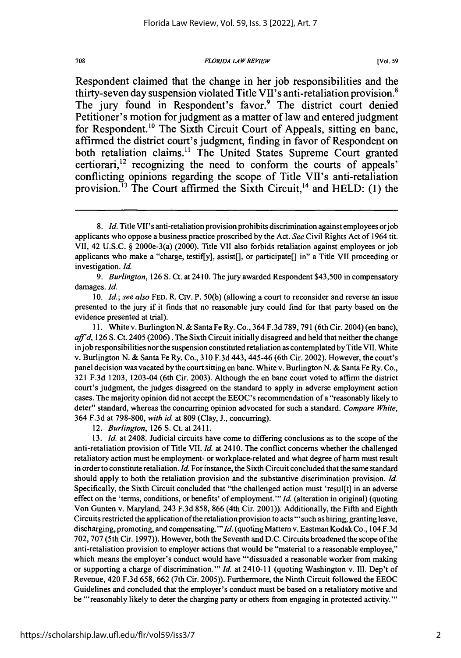#### *FLORIDA LAW REVIEW*

Respondent claimed that the change in her **job** responsibilities and the thirty-seven day suspension violated Title **VII's** anti-retaliation provision. The jury found in Respondent's favor.<sup>9</sup> The district court denied Petitioner's motion for judgment as a matter of law and entered judgment for Respondent.<sup>10</sup> The Sixth Circuit Court of Appeals, sitting en banc, affirmed the district court's judgment, finding in favor of Respondent on both retaliation claims.<sup>11</sup> The United States Supreme Court granted certiorari, $^{12}$  recognizing the need to conform the courts of appeals' conflicting opinions regarding the scope of Title VIl's anti-retaliation provision.<sup>13</sup> The Court affirmed the Sixth Circuit,<sup>14</sup> and HELD: (1) the

11. White v. Burlington N. & Santa Fe Ry. Co., 364 F.3d 789, 791 (6th Cir. 2004) (en banc), *aff'd,* 126 **S.** Ct. 2405 (2006). The Sixth Circuit initially disagreed and held that neither the change injob responsibilities nor the suspension constituted retaliation as contemplated by Title VII. White v. Burlington N. & Santa Fe Ry. Co., 310 F.3d 443, 445-46 (6th Cir. 2002). However, the court's panel decision was vacated by the court sitting en banc. White v. Burlington N. & Santa Fe Ry. Co., 321 F.3d 1203, 1203-04 (6th Cir. 2003). Although the en banc court voted to affirm the district court's judgment, the judges disagreed on the standard to apply in adverse employment action cases. The majority opinion did not accept the EEOC's recommendation of a "reasonably likely to deter" standard, whereas the concurring opinion advocated for such a standard. *Compare White,* 364 F.3d at 798-800, *with id.* at 809 (Clay, **J.,** concurring).

12. *Burlington,* 126 S. Ct. at 2411.

13. *Id.* at 2408. Judicial circuits have come to differing conclusions as to the scope of the anti-retaliation provision of Title VII. *Id.* at 2410. The conflict concerns whether the challenged retaliatory action must be employment- or workplace-related and what degree of harm must result in order to constitute retaliation. *Id.* For instance, the Sixth Circuit concluded that the same standard should apply to both the retaliation provision and the substantive discrimination provision. *Id.* Specifically, the Sixth Circuit concluded that "the challenged action must 'resul[t] in an adverse effect on the 'terms, conditions, or benefits' of employment."' *Id.* (alteration in original) (quoting Von Gunten v. Maryland, 243 F.3d 858, 866 (4th Cir. 2001)). Additionally, the Fifth and Eighth Circuits restricted the application of the retaliation provision to acts "'such as hiring, granting leave, discharging, promoting, and compensating." Id. (quoting Mattern v. Eastman Kodak Co., 104 F.3d) 702, 707 (5th Cir. 1997)). However, both the Seventh and D.C. Circuits broadened the scope of the anti-retaliation provision to employer actions that would be "material to a reasonable employee," which means the employer's conduct would have "'dissuaded a reasonable worker from making or supporting a charge of discrimination."' *Id.* at 24 10-11 (quoting Washington v. **I11.** Dep't of Revenue, 420 F.3d 658, 662 (7th Cir. 2005)). Furthermore, the Ninth Circuit followed the EEOC Guidelines and concluded that the employer's conduct must be based on a retaliatory motive and be "'reasonably likely to deter the charging party or others from engaging in protected activity.""

<sup>8.</sup> *Id.* Title VII's anti-retaliation provision prohibits discrimination against employees orjob applicants who oppose a business practice proscribed by the Act. *See* Civil Rights Act of 1964 tit. VII, 42 U.S.C. § 2000e-3(a) (2000). Title VII also forbids retaliation against employees or job applicants who make a "charge, testiffy], assist[], or participate[] in" a Title VII proceeding or investigation. *Id.*

*<sup>9.</sup> Burlington,* 126 **S.** Ct. at 2410. The jury awarded Respondent \$43,500 in compensatory damages. *Id.*

<sup>10.</sup> *Id.; see also* FED. R. Civ. P. 50(b) (allowing a court to reconsider and reverse an issue presented to the jury if it finds that no reasonable jury could find for that party based on the evidence presented at trial).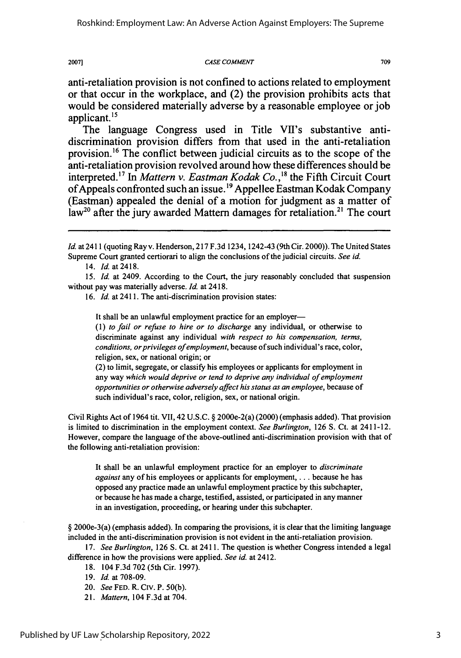#### *CASE COMMENT*

709

anti-retaliation provision is not confined to actions related to employment or that occur in the workplace, and (2) the provision prohibits acts that would be considered materially adverse **by** a reasonable employee or **job** applicant. **"**

The language Congress used in Title VII's substantive antidiscrimination provision differs from that used in the anti-retaliation provision. 6 The conflict between judicial circuits as to the scope of the anti-retaliation provision revolved around how these differences should be interpreted.<sup>17</sup> In *Mattern v. Eastman Kodak Co.*,<sup>18</sup> the Fifth Circuit Court of Appeals confronted such an issue.'9 Appellee Eastman Kodak Company (Eastman) appealed the denial of a motion for judgment as a matter of  $law<sup>20</sup>$  after the jury awarded Mattern damages for retaliation.<sup>21</sup> The court

14. *Id.* at 2418.

15. *Id.* at 2409. According to the Court, the jury reasonably concluded that suspension without pay was materially adverse. *Id.* at 2418.

16. *Id.* at 2411. The anti-discrimination provision states:

It shall be an unlawful employment practice for an employer-

*(1) to fail or refuse to hire or to discharge* any individual, or otherwise to discriminate against any individual *with respect to his compensation, terms, conditions, or privileges of employment,* because of such individual's race, color, religion, sex, or national origin; or

(2) to limit, segregate, or classify his employees or applicants for employment in any way *which would deprive or tend to deprive any individual of employment opportunities or otherwise adversely affect his status as an employee,* because of such individual's race, color, religion, sex, or national origin.

Civil Rights Act of 1964 tit. VII, 42 U.S.C. § 2000e-2(a) (2000) (emphasis added). That provision is limited to discrimination in the employment context. *See Burlington,* 126 **S.** Ct. at 2411-12. However, compare the language of the above-outlined anti-discrimination provision with that of the following anti-retaliation provision:

It shall be an unlawful employment practice for an employer to *discriminate against* any of his employees or applicants for employment, .. . because he has opposed any practice made an unlawful employment practice by this subchapter, or because he has made a charge, testified, assisted, or participated in any manner in an investigation, proceeding, or hearing under this subchapter.

§ 2000e-3(a) (emphasis added). In comparing the provisions, it is clear that the limiting language included in the anti-discrimination provision is not evident in the anti-retaliation provision.

17. *See Burlington,* 126 **S.** Ct. at 2411. The question is whether Congress intended a legal difference in how the provisions were applied. *See id.* at 2412.

- 18. 104 F.3d 702 (5th Cir. 1997).
- 19. *Id.* at 708-09.
- 20. *See* FED. R. Crv. P. 50(b).
- 21. *Mattern,* 104 F.3d at 704.

*Id.* at 2411 (quoting Ray v. Henderson, 217 F.3d 1234, 1242-43 (9th Cir. 2000)). The United States Supreme Court granted certiorari to align the conclusions of the judicial circuits. *See id.*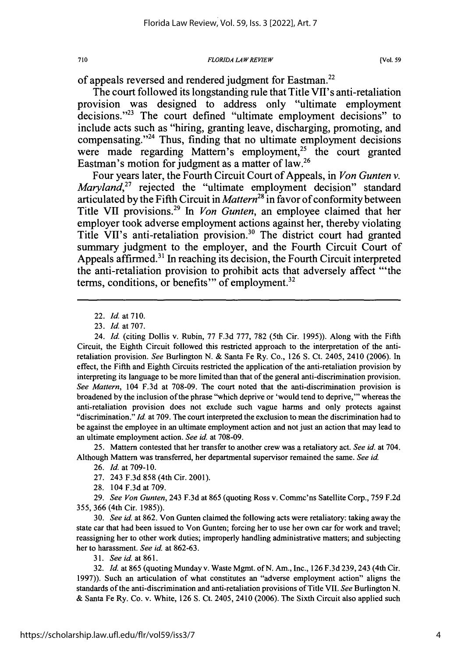#### *FLORIDA LAWREVIEW*

of appeals reversed and rendered judgment for Eastman.<sup>22</sup>

The court followed its longstanding rule that Title VIl's anti-retaliation provision was designed to address only "ultimate employment decisions."<sup>23</sup> The court defined "ultimate employment decisions" to include acts such as "hiring, granting leave, discharging, promoting, and compensating. $24$  Thus, finding that no ultimate employment decisions were made regarding Mattern's employment,<sup>25</sup> the court granted Eastman's motion for judgment as a matter of law.26

Four years later, the Fourth Circuit Court of Appeals, in *Von Gunten v. Maryland*<sup>27</sup> rejected the "ultimate employment decision" standard articulated by the Fifth Circuit in *Mattern28* in favor of conformity between Title VII provisions.29 In *Von Gunten,* an employee claimed that her employer took adverse employment actions against her, thereby violating Title VII's anti-retaliation provision.<sup>30</sup> The district court had granted summary judgment to the employer, and the Fourth Circuit Court of Appeals affirmed.<sup>31</sup> In reaching its decision, the Fourth Circuit interpreted the anti-retaliation provision to prohibit acts that adversely affect "'the terms, conditions, or benefits" of employment.<sup>32</sup>

22. *Id.* at **710.**

24. *Id.* (citing Dollis v. Rubin, 77 F.3d 777, 782 (5th Cir. 1995)). Along with the Fifth Circuit, the Eighth Circuit followed this restricted approach to the interpretation of the antiretaliation provision. *See* Burlington N. & Santa Fe Ry. Co., 126 S. Ct. 2405, 2410 (2006). In effect, the Fifth and Eighth Circuits restricted the application of the anti-retaliation provision by interpreting its language to be more limited than that of the general anti-discrimination provision. *See Mattern,* 104 F.3d at 708-09. The court noted that the anti-discrimination provision is broadened by the inclusion of the phrase "which deprive or 'would tend to deprive,"' whereas the anti-retaliation provision does not exclude such vague harms and only protects against "discrimination." *Id.* at 709. The court interpreted the exclusion to mean the discrimination had to be against the employee in an ultimate employment action and not just an action that may lead to an ultimate employment action. *See id.* at 708-09.

25. Mattem contested that her transfer to another crew was a retaliatory act. *See id.* at 704. Although Mattem was transferred, her departmental supervisor remained the same. *See id.*

26. *Id.* at 709-10.

27. 243 F.3d 858 (4th Cir. 2001).

28. 104 F.3d at 709.

29. *See Von Gunten,* 243 F.3d at 865 (quoting Ross v. Commc'ns Satellite Corp., 759 F.2d 355, 366 (4th Cir. 1985)).

30. *See id.* at 862. Von Gunten claimed the following acts were retaliatory: taking away the state car that had been issued to Von Gunten; forcing her to use her own car for work and travel; reassigning her to other work duties; improperly handling administrative matters; and subjecting her to harassment. *See id.* at 862-63.

31. *See id.* at 861.

32. *Id.* at 865 (quoting Munday v. Waste Mgmt. of N. Am., Inc., 126 F.3d 239,243 (4th Cir. 1997)). Such an articulation of what constitutes an "adverse employment action" aligns the standards of the anti-discrimination and anti-retaliation provisions of Title VII. *See* Burlington N. & Santa Fe Ry. Co. v. White, 126 **S.** Ct. 2405, 2410 (2006). The Sixth Circuit also applied such

<sup>23.</sup> *Id.* at 707.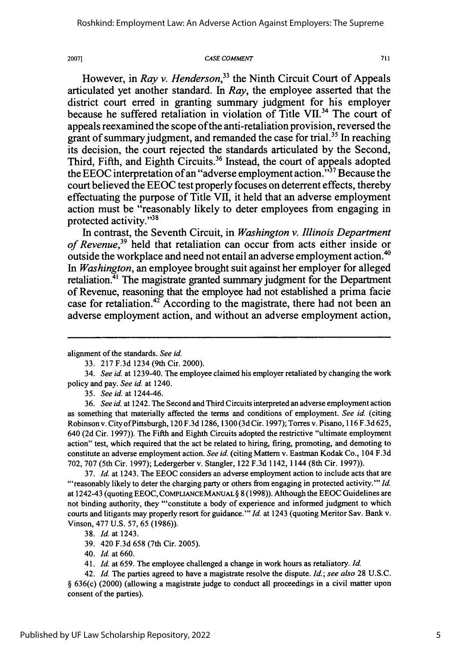2007]

#### *CASE COMMENT*

711

However, in *Ray v. Henderson*<sup>33</sup> the Ninth Circuit Court of Appeals articulated yet another standard. In *Ray,* the employee asserted that the district court erred in granting summary judgment for his employer because he suffered retaliation in violation of Title VII.<sup>34</sup> The court of appeals reexamined the scope of the anti-retaliation provision, reversed the grant of summary judgment, and remanded the case for trial.<sup>35</sup> In reaching its decision, the court rejected the standards articulated **by** the Second, Third, Fifth, and Eighth Circuits.<sup>36</sup> Instead, the court of appeals adopted the **EEOC** interpretation of an "adverse employment action."37 Because the court believed the **EEOC** test properly focuses on deterrent effects, thereby effectuating the purpose of Title VII, it held that an adverse employment action must be "reasonably likely to deter employees from engaging in protected activity."<sup>38</sup>

In contrast, the Seventh Circuit, in *Washington v. Illinois Department of Revenue,39* held that retaliation can occur from acts either inside or outside the workplace and need not entail an adverse employment action.<sup>40</sup> *In Washington,* an employee brought suit against her employer for alleged retaliation.<sup>41</sup> The magistrate granted summary judgment for the Department of Revenue, reasoning that the employee had not established a prima facie case for retaliation.<sup>42</sup> According to the magistrate, there had not been an adverse employment action, and without an adverse employment action,

*35. See id.* at 1244-46.

36. *See id.* at 1242. The Second and Third Circuits interpreted an adverse employment action as something that materially affected the terms and conditions of employment. *See id.* (citing Robinson v. City ofPittsburgh, 120 F.3d 1286, 1300 (3d Cir. 1997); Torres v. Pisano, 116F.3d625, 640 (2d Cir. 1997)). The Fifth and Eighth Circuits adopted the restrictive "ultimate employment action" test, which required that the act be related to hiring, firing, promoting, and demoting to constitute an adverse employment action. *See id.* (citing Mattern v. Eastman Kodak Co., 104 F.3d 702, 707 (5th Cir. 1997); Ledergerber v. Stangler, 122 F.3d 1142, 1144 (8th Cir. 1997)).

37. *Id.* at 1243. The EEOC considers an adverse employment action to include acts that are "'reasonably likely to deter the charging party or others from engaging in protected activity."' *Id.* at 1242-43 (quoting EEOC, COMPLIANCE MANUAL **§** 8 (1998)). Although the EEOC Guidelines are not binding authority, they "'constitute a body of experience and informed judgment to which courts and litigants may properly resort for guidance."' *Id.* at 1243 (quoting Meritor Sav. Bank v. Vinson, 477 U.S. 57, 65 (1986)).

38. *Id.* at 1243.

39. 420 F.3d 658 (7th Cir. 2005).

40. *Id.* at 660.

41. *Id.* at 659. The employee challenged a change in work hours as retaliatory. *Id.*

42. *Id.* The parties agreed to have a magistrate resolve the dispute. *Id.; see also* 28 U.S.C. § 636(c) (2000) (allowing a magistrate judge to conduct all proceedings in a civil matter upon consent of the parties).

alignment of the standards. *See id.*

<sup>33. 217</sup> F.3d 1234 (9th Cir. 2000).

<sup>34.</sup> *See id.* at 1239-40. The employee claimed his employer retaliated **by** changing the work policy and pay. *See id.* at 1240.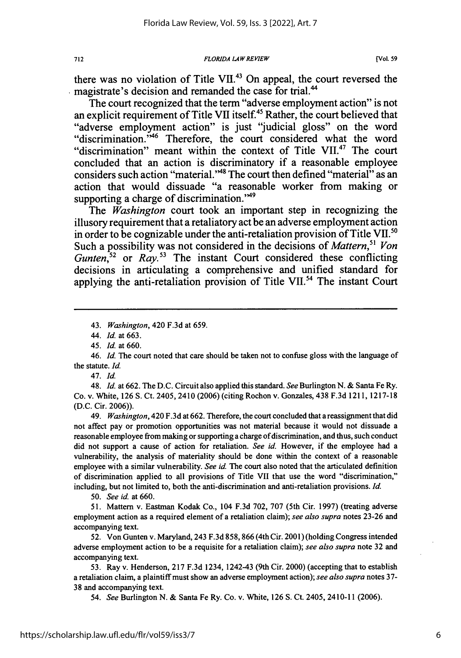there was no violation of Title **VII.<sup>43</sup>**On appeal, the court reversed the magistrate's decision and remanded the case for trial.<sup>44</sup>

The court recognized that the term "adverse employment action" is not an explicit requirement of Title VII itself.<sup>45</sup> Rather, the court believed that "adverse employment action" is just "judicial gloss" on the word "discrimination.<sup>746</sup> Therefore, the court considered what the word "discrimination" meant within the context of Title VII.<sup>47</sup> The court concluded that an action is discriminatory if a reasonable employee considers such action "material."<sup>48</sup> The court then defined "material" as an action that would dissuade "a reasonable worker from making or supporting a charge of discrimination."<sup>49</sup>

The *Washington* court took an important step in recognizing the illusory requirement that a retaliatory act be an adverse employment action in order to be cognizable under the anti-retaliation provision of Title **VII.<sup>50</sup>** Such a possibility was not considered in the decisions of *Mattern,5' Von Gunten*,<sup>52</sup> or *Ray.*<sup>53</sup> The instant Court considered these conflicting decisions in articulating a comprehensive and unified standard for applying the anti-retaliation provision of Title VII.<sup>54</sup> The instant Court

43. *Washington,* 420 F.3d at 659.

44. Id. at 663.

*45.* Id. at 660.

46. *Id.* The court noted that care should be taken not to confuse gloss with the language of the statute. Id.

47. Id.

48. Id. at 662. The D.C. Circuit also applied this standard. *See* Burlington N. & Santa Fe Ry. Co. v. White, 126 S. Ct. 2405, 2410 (2006) (citing Rochon v. Gonzales, 438 F.3d 1211, 1217-18 (D.C. Cir. **2006)).**

49. *Washington,* 420 F.3d at 662. Therefore, the court concluded that a reassignment that did not affect pay or promotion opportunities was not material because it would not dissuade a reasonable employee from making or supporting a charge of discrimination, and thus, such conduct did not support a cause of action for retaliation. *See id.* However, if the employee had a vulnerability, the analysis of materiality should be done within the context of a reasonable employee with a similar vulnerability. *See* id. The court also noted that the articulated definition of discrimination applied to all provisions of Title VII that use the word "discrimination," including, but not limited to, both the anti-discrimination and anti-retaliation provisions. Id.

*50. See* id. at 660.

51. Mattern v. Eastman Kodak Co., 104 F.3d 702, 707 (5th Cir. 1997) (treating adverse employment action as a required element of a retaliation claim); *see also supra* notes 23-26 and accompanying text.

52. Von Gunten v. Maryland, 243 F.3d 858, 866 (4th Cir. 2001) (holding Congress intended adverse employment action to be a requisite for a retaliation claim); *see also supra* note 32 and accompanying text.

53. Ray v. Henderson, 217 F.3d 1234, 1242-43 (9th Cir. 2000) (accepting that to establish a retaliation claim, a plaintiff must show an adverse employment action); *see also supra* notes 37- 38 and accompanying text.

*54. See* Burlington N. & Santa Fe Ry. Co. v. White, 126 **S.** Ct. 2405, 2410-11 (2006).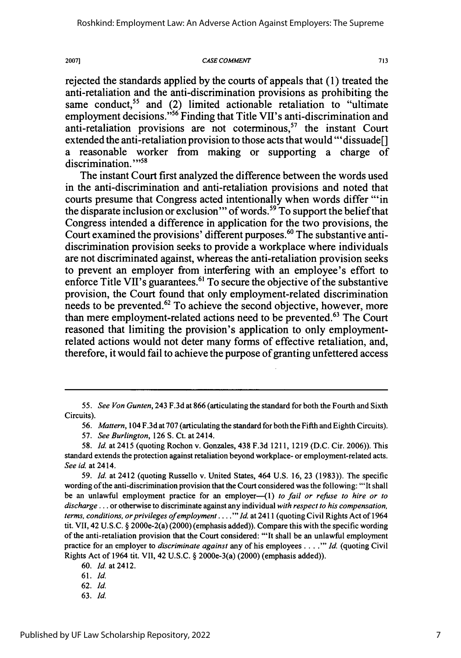#### *CASE COMMENT*

rejected the standards applied by the courts of appeals that (1) treated the anti-retaliation and the anti-discrimination provisions as prohibiting the same conduct,<sup>55</sup> and (2) limited actionable retaliation to "ultimate employment decisions."<sup>56</sup> Finding that Title VII's anti-discrimination and anti-retaliation provisions are not coterminous,<sup>57</sup> the instant Court extended the anti-retaliation provision to those acts that would "'dissuade[] a reasonable worker from making or supporting a charge of discrimination."<sup>58</sup>

The instant Court first analyzed the difference between the words used in the anti-discrimination and anti-retaliation provisions and noted that courts presume that Congress acted intentionally when words differ "'in the disparate inclusion or exclusion" of words.<sup>59</sup> To support the belief that Congress intended a difference in application for the two provisions, the Court examined the provisions' different purposes.<sup>60</sup> The substantive antidiscrimination provision seeks to provide a workplace where individuals are not discriminated against, whereas the anti-retaliation provision seeks to prevent an employer from interfering with an employee's effort to enforce Title VII's guarantees.<sup>61</sup> To secure the objective of the substantive provision, the Court found that only employment-related discrimination needs to be prevented. $62$  To achieve the second objective, however, more than mere employment-related actions need to be prevented.<sup>63</sup> The Court reasoned that limiting the provision's application to only employmentrelated actions would not deter many forms of effective retaliation, and, therefore, it would fail to achieve the purpose of granting unfettered access

63. Id.

<sup>55.</sup> *See Von Gunten,* 243 **F.3d** at **866** (articulating the standard for both the Fourth and Sixth Circuits).

<sup>56.</sup> *Mattern,* 104 F.3d at 707 (articulating the standard for both the Fifth and Eighth Circuits).

<sup>57.</sup> *See Burlington,* 126 S. Ct. at 2414.

<sup>58.</sup> *Id.* at 2415 (quoting Rochon v. Gonzales, 438 F.3d 1211, 1219 (D.C. Cir. 2006)). This standard extends the protection against retaliation beyond workplace- or employment-related acts. *See id.* at 2414.

*<sup>59.</sup> Id.* at 2412 (quoting Russello v. United States, 464 U.S. 16, 23 (1983)). The specific wording of the anti-discrimination provision that the Court considered was the following: "'It shall be an unlawful employment practice for an employer—(1) *to fail or refuse to hire or to discharge* **...** or otherwise to discriminate against any individual *with respect to his compensation, terms, conditions, or privileges of employment* **.... '** *Id.* at 2411 (quoting Civil Rights Act of 1964 tit. VII, 42 U.S.C. § 2000e-2(a) (2000) (emphasis added)). Compare this with the specific wording of the anti-retaliation provision that the Court considered: "'It shall be an unlawful employment practice for an employer to *discriminate against* any of his employees **...."'** Id. (quoting Civil Rights Act of 1964 tit. VII, 42 U.S.C. § 2000e-3(a) (2000) (emphasis added)).

<sup>60.</sup> 1d. at 2412.

<sup>61.</sup> Id.

<sup>62.</sup> *Id.*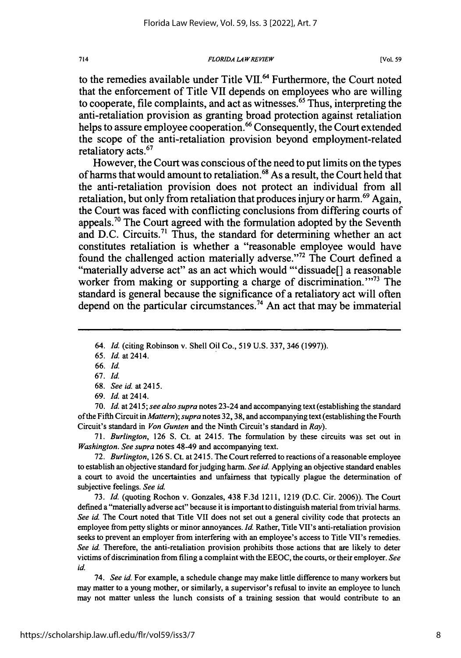**FLORIDA LAW REVIEW** 

to the remedies available under Title **VII.6** Furthermore, the Court noted that the enforcement of Title **VH** depends on employees who are willing to cooperate, file complaints, and act as witnesses.<sup>65</sup> Thus, interpreting the anti-retaliation provision as granting broad protection against retaliation helps to assure employee cooperation.<sup>66</sup> Consequently, the Court extended the scope of the anti-retaliation provision beyond employment-related retaliatory acts.<sup>67</sup>

However, the Court was conscious of the need to put limits on the types of harms that would amount to retaliation. 68 As a result, the Court held that the anti-retaliation provision does not protect an individual from all retaliation, but only from retaliation that produces injury or harm.<sup>69</sup> Again, the Court was faced with conflicting conclusions from differing courts of appeals. <sup>7</sup> ' The Court agreed with the formulation adopted **by** the Seventh and D.C. Circuits.<sup>71</sup> Thus, the standard for determining whether an act constitutes retaliation is whether a "reasonable employee would have found the challenged action materially adverse."<sup>72</sup> The Court defined a "materially adverse act" as an act which would "'dissuade[] a reasonable worker from making or supporting a charge of discrimination.<sup> $373$ </sup> The standard is general because the significance of a retaliatory act will often depend on the particular circumstances.<sup>74</sup> An act that may be immaterial

70. *Id.* at 2415; *see also supra* notes 23-24 and accompanying text (establishing the standard of the Fifth Circuit in *Mattern); supra* notes 32, 38, and accompanying text (establishing the Fourth Circuit's standard in *Von Gunten* and the Ninth Circuit's standard in *Ray).*

**71.** *Burlington,* **126 S.** Ct. at 2415. The formulation **by** these circuits was set out in *Washington. See supra* notes 48-49 and accompanying text.

**72.** *Burlington,* **126 S.** Ct. at 2415. The Court referred to reactions of a reasonable employee to establish an objective standard forjudging harm. *See id.* Applying an objective standard enables a court to avoid the uncertainties and unfairness that typically plague the determination of subjective feelings. *See id.*

**73.** *Id.* (quoting Rochon v. Gonzales, 438 **F.3d** 1211, **1219 (D.C.** Cir. **2006)).** The Court defined a "materially adverse act" because it is important to distinguish material from trivial harms. *See id.* The Court noted that Title **VII** does not set out a general civility code that protects an employee from petty slights or minor annoyances. *Id.* Rather, Title **VII's** anti-retaliation provision seeks to prevent an employer from interfering with an employee's access to Title VII's remedies. *See id.* Therefore, the anti-retaliation provision prohibits those actions that are likely to deter victims of discrimination from filing a complaint with the **EEOC,** the courts, or their employer. *See id.*

74. *See id.* For example, a schedule change may make little difference to many workers but may matter to a young mother, or similarly, a supervisor's refusal to invite an employee to lunch may not matter unless the lunch consists of a training session that would contribute to an

714

<sup>64.</sup> *Id.* (citing Robinson v. Shell Oil Co., 519 U.S. 337, 346 (1997)).

<sup>65.</sup> *Id.* at 2414.

<sup>66.</sup> *Id.*

<sup>67.</sup> *Id.*

<sup>68.</sup> *See id.* at 2415.

<sup>69.</sup> *Id.* at 2414.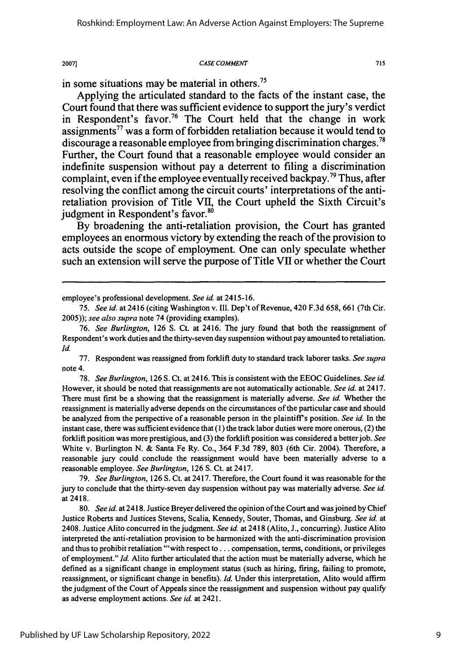#### *CASE COMMENT*

715

in some situations may be material in others.<sup>75</sup>

2007]

Applying the articulated standard to the facts of the instant case, the Court found that there was sufficient evidence to support the jury's verdict in Respondent's favor.<sup>76</sup> The Court held that the change in work assignments" was a form of forbidden retaliation because it would tend to discourage a reasonable employee from bringing discrimination charges.<sup>78</sup> Further, the Court found that a reasonable employee would consider an indefinite suspension without pay a deterrent to filing a discrimination complaint, even if the employee eventually received backpay.<sup>79</sup> Thus, after resolving the conflict among the circuit courts' interpretations of the antiretaliation provision of Title VII, the Court upheld the Sixth Circuit's judgment in Respondent's favor.<sup>86</sup>

**By** broadening the anti-retaliation provision, the Court has granted employees an enormous victory **by** extending the reach of the provision to acts outside the scope of employment. One can only speculate whether such an extension will serve the purpose of Title **VII** or whether the Court

77. Respondent was reassigned from forklift duty to standard track laborer tasks. *See supra* note 4.

78. *See Burlington,* 126 S. Ct. at 2416. This is consistent with the EEOC Guidelines. *See id.* However, it should be noted that reassignments are not automatically actionable. *See id.* at 2417. There must first be a showing that the reassignment is materially adverse. *See id.* Whether the reassignment is materially adverse depends on the circumstances of the particular case and should be analyzed from the perspective of a reasonable person in the plaintiff's position. *See id.* In the instant case, there was sufficient evidence that (1) the track labor duties were more onerous, (2) the forklift position was more prestigious, and (3) the forklift position was considered a better job. *See* White v. Burlington N. & Santa Fe Ry. Co., 364 F.3d 789, 803 (6th Cir. 2004). Therefore, a reasonable jury could conclude the reassignment would have been materially adverse to a reasonable employee. *See Burlington,* 126 **S.** Ct. at 2417.

79. *See Burlington,* 126 S. Ct. at 2417. Therefore, the Court found it was reasonable for the jury to conclude that the thirty-seven day suspension without pay was materially adverse. *See id* at 2418.

80. *See id.* at 2418. Justice Breyer delivered the opinion of the Court and was joined by Chief Justice Roberts and Justices Stevens, Scalia, Kennedy, Souter, Thomas, and Ginsburg. *See id.* at 2408. Justice Alito concurred in the judgment. *See id.* at 2418 (Alito, J., concurring). Justice Alito interpreted the anti-retaliation provision to be harmonized with the anti-discrimination provision and thus to prohibit retaliation "'with respect to... compensation, terms, conditions, or privileges of employment." *Id.* Alito further articulated that the action must be materially adverse, which he defined as a significant change in employment status (such as hiring, firing, failing to promote, reassignment, or significant change in benefits). *Id.* Under this interpretation, Alito would affirm the judgment of the Court of Appeals since the reassignment and suspension without pay qualify as adverse employment actions. *See id.* at 2421.

employee's professional development. *See id.* at 2415-16.

*<sup>75.</sup> See id.* at 2416 (citing Washington v. Ill. Dep't of Revenue, 420 F.3d 658, 661 (7th Cir. 2005)); *see also supra* note 74 (providing examples).

<sup>76.</sup> *See Burlington,* 126 **S.** Ct. at 2416. The jury found that both the reassignment of Respondent's work duties and the thirty-seven day suspension without pay amounted to retaliation. *Id.*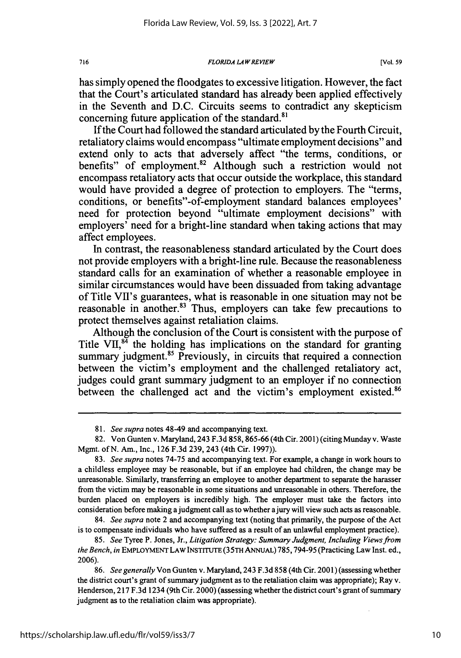*FLORIDA LA WREVIEW*

has simply opened the floodgates to excessive litigation. However, the fact that the Court's articulated standard has already been applied effectively in the Seventh and D.C. Circuits seems to contradict any skepticism concerning future application of the standard.<sup>81</sup>

If the Court had followed the standard articulated by the Fourth Circuit, retaliatory claims would encompass "ultimate employment decisions" and extend only to acts that adversely affect "the terms, conditions, or benefits" of employment.<sup>82</sup> Although such a restriction would not encompass retaliatory acts that occur outside the workplace, this standard would have provided a degree of protection to employers. The "terms, conditions, or benefits"-of-employment standard balances employees' need for protection beyond "ultimate employment decisions" with employers' need for a bright-line standard when taking actions that may affect employees.

In contrast, the reasonableness standard articulated by the Court does not provide employers with a bright-line rule. Because the reasonableness standard calls for an examination of whether a reasonable employee in similar circumstances would have been dissuaded from taking advantage of Title VIl's guarantees, what is reasonable in one situation may not be reasonable in another.<sup>83</sup> Thus, employers can take few precautions to protect themselves against retaliation claims.

Although the conclusion of the Court is consistent with the purpose of Title VII,<sup>84</sup> the holding has implications on the standard for granting summary judgment.<sup>85</sup> Previously, in circuits that required a connection between the victim's employment and the challenged retaliatory act, judges could grant summary judgment to an employer if no connection between the challenged act and the victim's employment existed.<sup>86</sup>

84. *See supra* note 2 and accompanying text (noting that primarily, the purpose of the Act is to compensate individuals who have suffered as a result of an unlawful employment practice).

<sup>81.</sup> *See supra* notes 48-49 and accompanying text.

<sup>82.</sup> Von Gunten v. Maryland, 243 F.3d 858,865-66 (4th Cir. 2001) (citing Munday v. Waste Mgmt. of N. Am., Inc., 126 F.3d 239, 243 (4th Cir. 1997)).

<sup>83.</sup> *See supra* notes 74-75 and accompanying text. For example, a change in work hours to a childless employee may be reasonable, but if an employee had children, the change may be unreasonable. Similarly, transferring an employee to another department to separate the harasser from the victim may be reasonable in some situations and unreasonable in others. Therefore, the burden placed on employers is incredibly high. The employer must take the factors into consideration before making ajudgment call as to whether ajury will view such acts as reasonable.

<sup>85.</sup> *See* Tyree P. Jones, Jr., *Litigation Strategy: Summary Judgment, Including Views from the Bench, in* EMPLOYMENT LAW INSTITUTE **(35TH** ANNUAL) 785,794-95 (Practicing Law Inst. ed., 2006).

<sup>86.</sup> *See generally* Von Gunten v. Maryland, 243 F.3d 858 (4th Cir. 2001) (assessing whether the district court's grant of summary judgment as to the retaliation claim was appropriate); Ray v. Henderson, 217 F.3d 1234 (9th Cir. 2000) (assessing whether the district court's grant of summary judgment as to the retaliation claim was appropriate).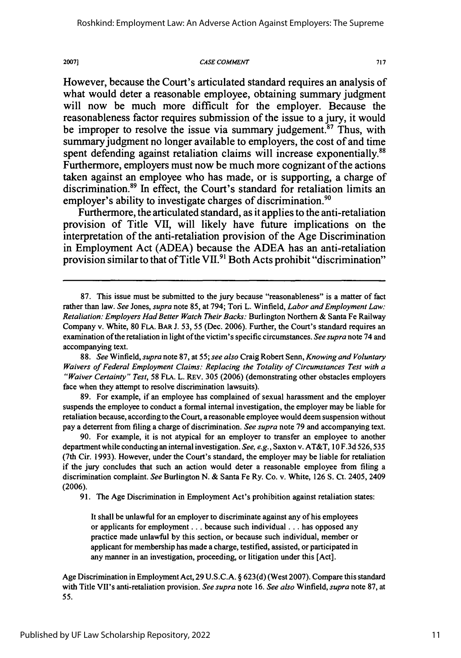**CASE COMMENT**

20071

717

However, because the Court's articulated standard requires an analysis of what would deter a reasonable employee, obtaining summary judgment will now be much more difficult for the employer. Because the reasonableness factor requires submission of the issue to a jury, it would be improper to resolve the issue via summary judgement.<sup>87</sup> Thus, with summary judgment no longer available to employers, the cost of and time spent defending against retaliation claims will increase exponentially.<sup>88</sup> Furthermore, employers must now be much more cognizant of the actions taken against an employee who has made, or is supporting, a charge of discrimination.<sup>89</sup> In effect, the Court's standard for retaliation limits an employer's ability to investigate charges of discrimination.<sup>90</sup>

Furthermore, the articulated standard, as it applies to the anti-retaliation provision of Title **VII,** will likely have future implications on the interpretation of the anti-retaliation provision of the Age Discrimination in Employment Act **(ADEA)** because the **ADEA** has an anti-retaliation provision similar to that of Title VII.<sup>91</sup> Both Acts prohibit "discrimination"

89. For example, if an employee has complained of sexual harassment and the employer suspends the employee to conduct a formal internal investigation, the employer may be liable for retaliation because, according to the Court, a reasonable employee would deem suspension without pay a deterrent from filing a charge of discrimination. *See supra* note 79 and accompanying text.

90. For example, it is not atypical for an employer to transfer an employee to another department while conducting an internal investigation. *See, e.g.,* Saxton v. AT&T, 10 F.3d 526,535 (7th Cir. 1993). However, under the Court's standard, the employer may be liable for retaliation if the jury concludes that such an action would deter a reasonable employee from filing a discrimination complaint. *See* Burlington N. & Santa Fe Ry. Co. v. White, 126 S. Ct. 2405, 2409 (2006).

91. The Age Discrimination in Employment Act's prohibition against retaliation states:

It shall be unlawful for an employer to discriminate against any of his employees or applicants for employment **...** because such individual **...** has opposed any practice made unlawful by this section, or because such individual, member or applicant for membership has made a charge, testified, assisted, or participated in any manner in an investigation, proceeding, or litigation under this [Act].

Age Discrimination in Employment Act, 29 U.S.C.A. § 623(d) (West 2007). Compare this standard with Title VII's anti-retaliation provision. *See supra* note 16. *See also* Winfield, *supra* note 87, at 55.

<sup>87.</sup> This issue must be submitted to the jury because "reasonableness" is a matter of fact rather than law. *See* Jones, *supra* note 85, at 794; Tori L. Winfield, *Labor and Employment Law: Retaliation: Employers Had Better Watch Their Backs:* Burlington Northern & Santa Fe Railway Company v. White, 80 FLA. BAR **J. 53,** 55 (Dec. 2006). Further, the Court's standard requires an examination of the retaliation in light of the victim's specific circumstances. *See supra* note 74 and accompanying text.

<sup>88.</sup> *See* Winfield, *supra* note 87, at 55; *see also* Craig Robert Senn, *Knowing and Voluntary Waivers of Federal Employment Claims: Replacing the Totality of Circumstances Test with a "Waiver Certainty" Test,* 58 FLA. L. REv. 305 (2006) (demonstrating other obstacles employers face when they attempt to resolve discrimination lawsuits).